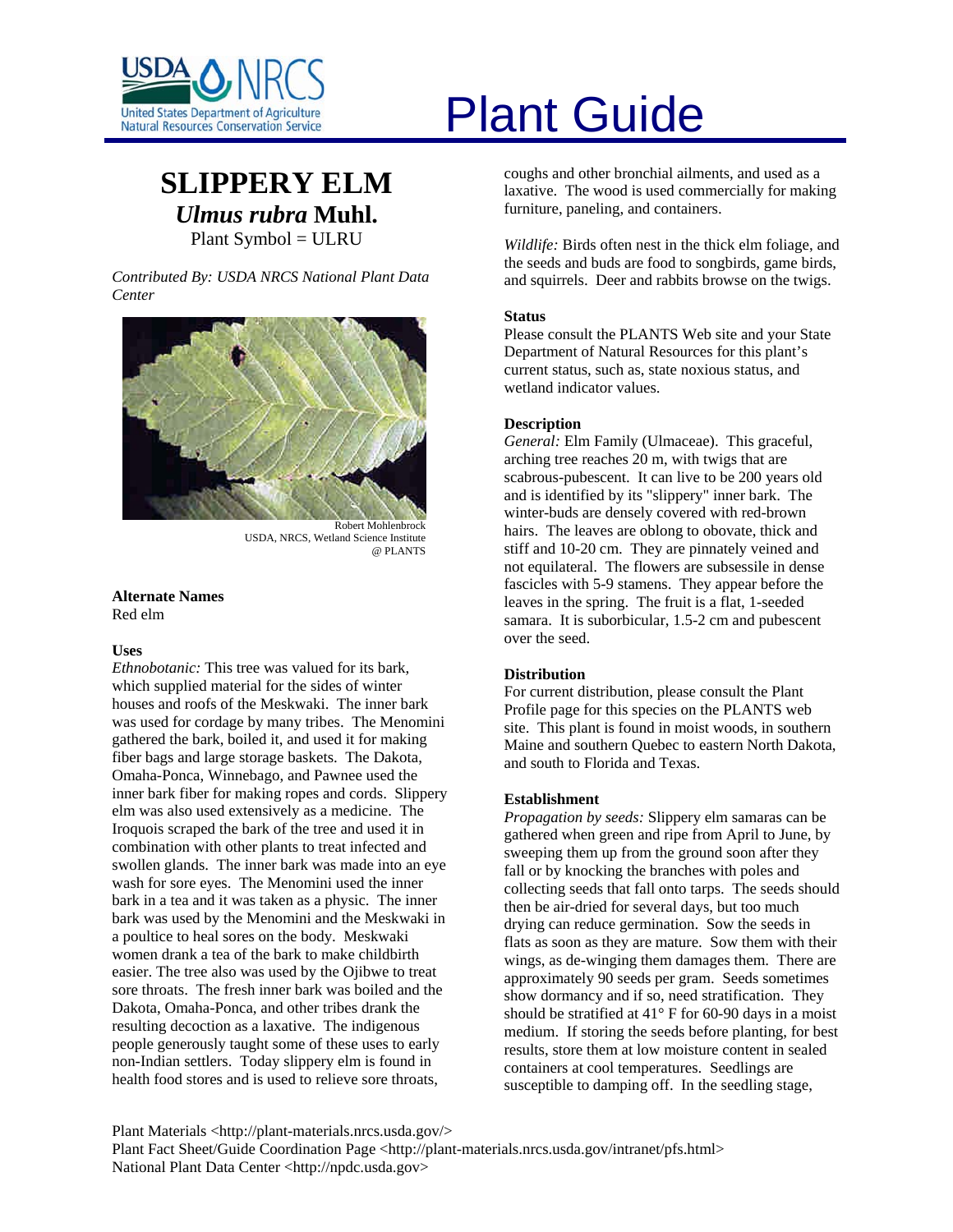

# **SLIPPERY ELM** *Ulmus rubra* **Muhl.** Plant Symbol = ULRU

*Contributed By: USDA NRCS National Plant Data Center* 



Robert Mohlenbrock USDA, NRCS, Wetland Science Institute @ PLANTS

#### **Alternate Names**  Red elm

#### **Uses**

*Ethnobotanic:* This tree was valued for its bark, which supplied material for the sides of winter houses and roofs of the Meskwaki. The inner bark was used for cordage by many tribes. The Menomini gathered the bark, boiled it, and used it for making fiber bags and large storage baskets. The Dakota, Omaha-Ponca, Winnebago, and Pawnee used the inner bark fiber for making ropes and cords. Slippery elm was also used extensively as a medicine. The Iroquois scraped the bark of the tree and used it in combination with other plants to treat infected and swollen glands. The inner bark was made into an eye wash for sore eyes. The Menomini used the inner bark in a tea and it was taken as a physic. The inner bark was used by the Menomini and the Meskwaki in a poultice to heal sores on the body. Meskwaki women drank a tea of the bark to make childbirth easier. The tree also was used by the Ojibwe to treat sore throats. The fresh inner bark was boiled and the Dakota, Omaha-Ponca, and other tribes drank the resulting decoction as a laxative. The indigenous people generously taught some of these uses to early non-Indian settlers. Today slippery elm is found in health food stores and is used to relieve sore throats,

# United States Department of Agriculture<br>Natural Resources Conservation Service

coughs and other bronchial ailments, and used as a laxative. The wood is used commercially for making furniture, paneling, and containers.

*Wildlife:* Birds often nest in the thick elm foliage, and the seeds and buds are food to songbirds, game birds, and squirrels. Deer and rabbits browse on the twigs.

## **Status**

Please consult the PLANTS Web site and your State Department of Natural Resources for this plant's current status, such as, state noxious status, and wetland indicator values.

## **Description**

*General:* Elm Family (Ulmaceae). This graceful, arching tree reaches 20 m, with twigs that are scabrous-pubescent. It can live to be 200 years old and is identified by its "slippery" inner bark. The winter-buds are densely covered with red-brown hairs. The leaves are oblong to obovate, thick and stiff and 10-20 cm. They are pinnately veined and not equilateral. The flowers are subsessile in dense fascicles with 5-9 stamens. They appear before the leaves in the spring. The fruit is a flat, 1-seeded samara. It is suborbicular, 1.5-2 cm and pubescent over the seed.

#### **Distribution**

For current distribution, please consult the Plant Profile page for this species on the PLANTS web site. This plant is found in moist woods, in southern Maine and southern Quebec to eastern North Dakota, and south to Florida and Texas.

#### **Establishment**

*Propagation by seeds:* Slippery elm samaras can be gathered when green and ripe from April to June, by sweeping them up from the ground soon after they fall or by knocking the branches with poles and collecting seeds that fall onto tarps. The seeds should then be air-dried for several days, but too much drying can reduce germination. Sow the seeds in flats as soon as they are mature. Sow them with their wings, as de-winging them damages them. There are approximately 90 seeds per gram. Seeds sometimes show dormancy and if so, need stratification. They should be stratified at  $41^\circ$  F for 60-90 days in a moist medium. If storing the seeds before planting, for best results, store them at low moisture content in sealed containers at cool temperatures. Seedlings are susceptible to damping off. In the seedling stage,

Plant Materials <http://plant-materials.nrcs.usda.gov/> Plant Fact Sheet/Guide Coordination Page <http://plant-materials.nrcs.usda.gov/intranet/pfs.html> National Plant Data Center <http://npdc.usda.gov>